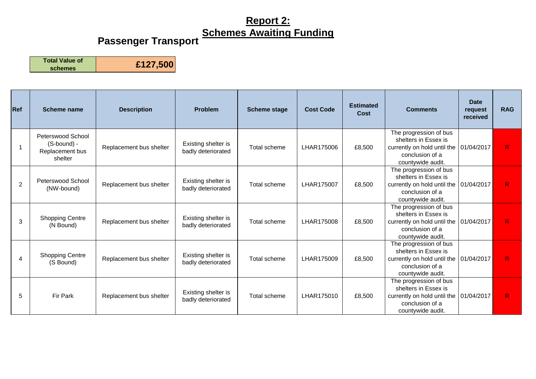#### **Passenger Transport**

**Total Value of** 

| Ref            | Scheme name                                                    | <b>Description</b>      | <b>Problem</b>                            | <b>Scheme stage</b> | <b>Cost Code</b> | <b>Estimated</b><br>Cost | <b>Comments</b>                                                                                                                    | <b>Date</b><br>request<br>received | <b>RAG</b>   |
|----------------|----------------------------------------------------------------|-------------------------|-------------------------------------------|---------------------|------------------|--------------------------|------------------------------------------------------------------------------------------------------------------------------------|------------------------------------|--------------|
|                | Peterswood School<br>(S-bound) -<br>Replacement bus<br>shelter | Replacement bus shelter | Existing shelter is<br>badly deteriorated | Total scheme        | LHAR175006       | £8,500                   | The progression of bus<br>shelters in Essex is<br>currently on hold until the<br>conclusion of a<br>countywide audit.              | 01/04/2017                         | $\mathsf{R}$ |
| $\overline{2}$ | Peterswood School<br>(NW-bound)                                | Replacement bus shelter | Existing shelter is<br>badly deteriorated | Total scheme        | LHAR175007       | £8,500                   | The progression of bus<br>shelters in Essex is<br>currently on hold until the   01/04/2017<br>conclusion of a<br>countywide audit. |                                    | R            |
| 3              | <b>Shopping Centre</b><br>(N Bound)                            | Replacement bus shelter | Existing shelter is<br>badly deteriorated | Total scheme        | LHAR175008       | £8,500                   | The progression of bus<br>shelters in Essex is<br>currently on hold until the<br>conclusion of a<br>countywide audit.              | 01/04/2017                         | $\mathsf{R}$ |
| 4              | <b>Shopping Centre</b><br>(S Bound)                            | Replacement bus shelter | Existing shelter is<br>badly deteriorated | Total scheme        | LHAR175009       | £8,500                   | The progression of bus<br>shelters in Essex is<br>currently on hold until the<br>conclusion of a<br>countywide audit.              | 01/04/2017                         | R            |
| 5              | Fir Park                                                       | Replacement bus shelter | Existing shelter is<br>badly deteriorated | Total scheme        | LHAR175010       | £8,500                   | The progression of bus<br>shelters in Essex is<br>currently on hold until the 01/04/2017<br>conclusion of a<br>countywide audit.   |                                    | R            |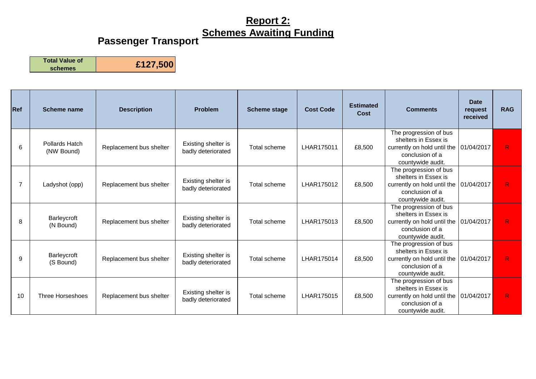### **Passenger Transport**

**Total Value of** 

| Ref            | Scheme name                  | <b>Description</b>      | <b>Problem</b>                            | <b>Scheme stage</b> | <b>Cost Code</b> | <b>Estimated</b><br>Cost | <b>Comments</b>                                                                                                                    | <b>Date</b><br>request<br>received | <b>RAG</b>   |
|----------------|------------------------------|-------------------------|-------------------------------------------|---------------------|------------------|--------------------------|------------------------------------------------------------------------------------------------------------------------------------|------------------------------------|--------------|
| 6              | Pollards Hatch<br>(NW Bound) | Replacement bus shelter | Existing shelter is<br>badly deteriorated | Total scheme        | LHAR175011       | £8,500                   | The progression of bus<br>shelters in Essex is<br>currently on hold until the<br>conclusion of a<br>countywide audit.              | 01/04/2017                         | R            |
| $\overline{7}$ | Ladyshot (opp)               | Replacement bus shelter | Existing shelter is<br>badly deteriorated | Total scheme        | LHAR175012       | £8,500                   | The progression of bus<br>shelters in Essex is<br>currently on hold until the   01/04/2017<br>conclusion of a<br>countywide audit. |                                    | R            |
| 8              | Barleycroft<br>(N Bound)     | Replacement bus shelter | Existing shelter is<br>badly deteriorated | Total scheme        | LHAR175013       | £8,500                   | The progression of bus<br>shelters in Essex is<br>currently on hold until the<br>conclusion of a<br>countywide audit.              | 01/04/2017                         | $\mathsf{R}$ |
| 9              | Barleycroft<br>(S Bound)     | Replacement bus shelter | Existing shelter is<br>badly deteriorated | Total scheme        | LHAR175014       | £8,500                   | The progression of bus<br>shelters in Essex is<br>currently on hold until the<br>conclusion of a<br>countywide audit.              | 01/04/2017                         | R            |
| 10             | Three Horseshoes             | Replacement bus shelter | Existing shelter is<br>badly deteriorated | Total scheme        | LHAR175015       | £8,500                   | The progression of bus<br>shelters in Essex is<br>currently on hold until the<br>conclusion of a<br>countywide audit.              | 01/04/2017                         | R            |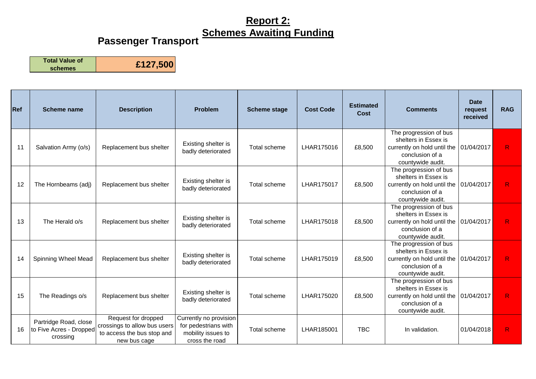### **Passenger Transport**

**Total Value of** 

| <b>Ref</b> | <b>Scheme name</b>                                           | <b>Description</b>                                                                                | <b>Problem</b>                                                                         | <b>Scheme stage</b> | <b>Cost Code</b> | <b>Estimated</b><br>Cost | <b>Comments</b>                                                                                                       | <b>Date</b><br>request<br>received | <b>RAG</b>   |
|------------|--------------------------------------------------------------|---------------------------------------------------------------------------------------------------|----------------------------------------------------------------------------------------|---------------------|------------------|--------------------------|-----------------------------------------------------------------------------------------------------------------------|------------------------------------|--------------|
| 11         | Salvation Army (o/s)                                         | Replacement bus shelter                                                                           | Existing shelter is<br>badly deteriorated                                              | Total scheme        | LHAR175016       | £8,500                   | The progression of bus<br>shelters in Essex is<br>currently on hold until the<br>conclusion of a<br>countywide audit. | 01/04/2017                         | R            |
| 12         | The Hornbeams (adj)                                          | Replacement bus shelter                                                                           | Existing shelter is<br>badly deteriorated                                              | Total scheme        | LHAR175017       | £8,500                   | The progression of bus<br>shelters in Essex is<br>currently on hold until the<br>conclusion of a<br>countywide audit. | 01/04/2017                         | R            |
| 13         | The Herald o/s                                               | Replacement bus shelter                                                                           | Existing shelter is<br>badly deteriorated                                              | Total scheme        | LHAR175018       | £8,500                   | The progression of bus<br>shelters in Essex is<br>currently on hold until the<br>conclusion of a<br>countywide audit. | 01/04/2017                         | $\mathsf{R}$ |
| 14         | Spinning Wheel Mead                                          | Replacement bus shelter                                                                           | Existing shelter is<br>badly deteriorated                                              | Total scheme        | LHAR175019       | £8,500                   | The progression of bus<br>shelters in Essex is<br>currently on hold until the<br>conclusion of a<br>countywide audit. | 01/04/2017                         | R            |
| 15         | The Readings o/s                                             | Replacement bus shelter                                                                           | Existing shelter is<br>badly deteriorated                                              | Total scheme        | LHAR175020       | £8,500                   | The progression of bus<br>shelters in Essex is<br>currently on hold until the<br>conclusion of a<br>countywide audit. | 01/04/2017                         | R            |
| 16         | Partridge Road, close<br>to Five Acres - Dropped<br>crossing | Request for dropped<br>crossings to allow bus users<br>to access the bus stop and<br>new bus cage | Currently no provision<br>for pedestrians with<br>mobility issues to<br>cross the road | Total scheme        | LHAR185001       | <b>TBC</b>               | In validation.                                                                                                        | 01/04/2018                         | R            |